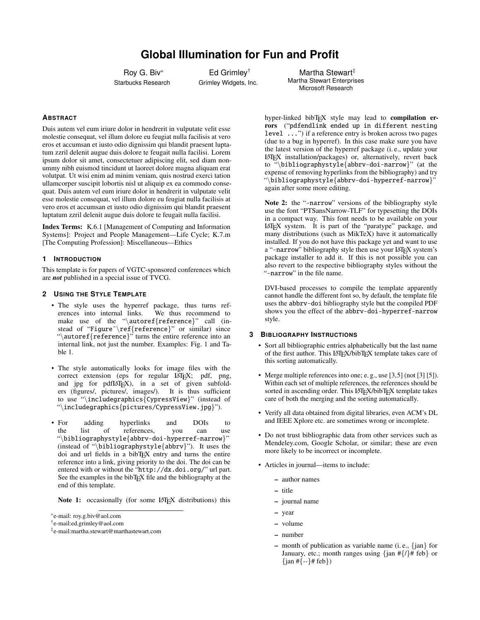# **Global Illumination for Fun and Profit**

Roy G. Biv\* Starbucks Research

Ed Grimley† Grimley Widgets, Inc.

Martha Stewart<sup>#</sup> Martha Stewart Enterprises Microsoft Research

## **ABSTRACT**

Duis autem vel eum iriure dolor in hendrerit in vulputate velit esse molestie consequat, vel illum dolore eu feugiat nulla facilisis at vero eros et accumsan et iusto odio dignissim qui blandit praesent luptatum zzril delenit augue duis dolore te feugait nulla facilisi. Lorem ipsum dolor sit amet, consectetuer adipiscing elit, sed diam nonummy nibh euismod tincidunt ut laoreet dolore magna aliquam erat volutpat. Ut wisi enim ad minim veniam, quis nostrud exerci tation ullamcorper suscipit lobortis nisl ut aliquip ex ea commodo consequat. Duis autem vel eum iriure dolor in hendrerit in vulputate velit esse molestie consequat, vel illum dolore eu feugiat nulla facilisis at vero eros et accumsan et iusto odio dignissim qui blandit praesent luptatum zzril delenit augue duis dolore te feugait nulla facilisi.

Index Terms: K.6.1 [Management of Computing and Information Systems]: Project and People Management—Life Cycle; K.7.m [The Computing Profession]: Miscellaneous—Ethics

## **1 INTRODUCTION**

This template is for papers of VGTC-sponsored conferences which are *not* published in a special issue of TVCG.

## **2 USING THE STYLE TEMPLATE**

- The style uses the hyperref package, thus turns ref-<br>erences into internal links. We thus recommend to erences into internal links. make use of the "\autoref{reference}" call (instead of "Figure"\ref{reference}" or similar) since "\autoref{reference}" turns the entire reference into an internal link, not just the number. Examples: [Fig. 1](#page-2-0) and [Ta](#page-1-0)[ble 1.](#page-1-0)
- The style automatically looks for image files with the correct extension (eps for regular LAT<sub>EX</sub>; pdf, png, and jpg for pdfLATEX), in a set of given subfolders (figures/, pictures/, images/). It is thus sufficient to use "\includegraphics{CypressView}" (instead of "\includegraphics{pictures/CypressView.jpg}").
- For adding hyperlinks and DOIs to<br>the list of references you can use of references, you can "\bibliographystyle{abbrv-doi-hyperref-narrow}" (instead of "\bibliographystyle{abbrv}"). It uses the doi and url fields in a bibTEX entry and turns the entire reference into a link, giving priority to the doi. The doi can be entered with or without the "http://dx.doi.org/" url part. See the examples in the bibTEX file and the bibliography at the end of this template.

Note 1: occasionally (for some LAT<sub>E</sub>X distributions) this

hyper-linked bibT<sub>E</sub>X style may lead to compilation errors ("pdfendlink ended up in different nesting level ...") if a reference entry is broken across two pages (due to a bug in hyperref). In this case make sure you have the latest version of the hyperref package (i. e., update your  $LATEX$  installation/packages) or, alternatively, revert back<br>to "\bibliographystyle{abbry-doi-narrow}" (at the  $\{\boldsymbol{\phi}\}\$  (at the  $\{\boldsymbol{\phi}\}$ ) (at the expense of removing hyperlinks from the bibliography) and try "\bibliographystyle{abbrv-doi-hyperref-narrow}" again after some more editing.

Note 2: the "-narrow" versions of the bibliography style use the font "PTSansNarrow-TLF" for typesetting the DOIs in a compact way. This font needs to be available on your LATEX system. It is part of the ["paratype" package,](https://www.ctan.org/pkg/paratype) and many distributions (such as MikTeX) have it automatically installed. If you do not have this package yet and want to use a "-narrow" bibliography style then use your LAT<sub>E</sub>X system's package installer to add it. If this is not possible you can also revert to the respective bibliography styles without the "-narrow" in the file name.

DVI-based processes to compile the template apparently cannot handle the different font so, by default, the template file uses the abbrv-doi bibliography style but the compiled PDF shows you the effect of the abbrv-doi-hyperref-narrow style.

## **3 BIBLIOGRAPHY INSTRUCTIONS**

- Sort all bibliographic entries alphabetically but the last name of the first author. This LATEX/bibTEX template takes care of this sorting automatically.
- Merge multiple references into one; e. g., use [\[3,](#page-2-1)[5\]](#page-2-2) (not [\[3\]](#page-2-1) [\[5\]](#page-2-2)). Within each set of multiple references, the references should be sorted in ascending order. This LATEX/bibTEX template takes care of both the merging and the sorting automatically.
- Verify all data obtained from digital libraries, even ACM's DL and IEEE Xplore etc. are sometimes wrong or incomplete.
- Do not trust bibliographic data from other services such as Mendeley.com, Google Scholar, or similar; these are even more likely to be incorrect or incomplete.
- Articles in journal—items to include:
	- author names
	- title
	- journal name
	- year
	- volume
	- number
	- month of publication as variable name  $(i, e, \{jan\}$  for January, etc.; month ranges using  $\{\tan \# \{\ell\} \# \text{ feb}\}\$  or  $\{\text{jan } \# \{-\} \# \text{ feb}\}\$

<sup>\*</sup>e-mail: roy.g.biv@aol.com

<sup>†</sup> e-mail:ed.grimley@aol.com

<sup>‡</sup> e-mail:martha.stewart@marthastewart.com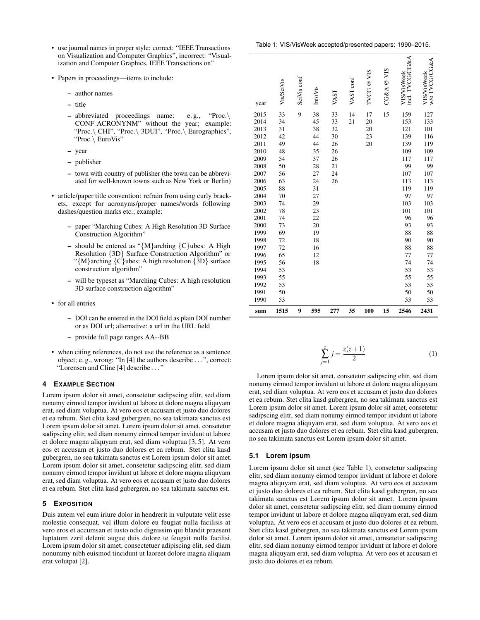- use journal names in proper style: correct: "IEEE Transactions on Visualization and Computer Graphics", incorrect: "Visualization and Computer Graphics, IEEE Transactions on"
- Papers in proceedings—items to include:
	- author names
	- title
	- abbreviated proceedings name: e. g., "Proc.\ CONF ACRONYNM" without the year; example: "Proc.\ CHI", "Proc.\ 3DUI", "Proc.\ Eurographics", "Proc.\ EuroVis"
	- year
	- publisher
	- town with country of publisher (the town can be abbreviated for well-known towns such as New York or Berlin)
- article/paper title convention: refrain from using curly brackets, except for acronyms/proper names/words following dashes/question marks etc.; example:
	- paper "Marching Cubes: A High Resolution 3D Surface Construction Algorithm"
	- should be entered as " ${M}$ arching  ${C}$ ubes: A High Resolution {3D} Surface Construction Algorithm" or " $\{M\}$ arching  $\{C\}$ ubes: A high resolution  $\{3D\}$  surface construction algorithm"
	- will be typeset as "Marching Cubes: A high resolution 3D surface construction algorithm"
- for all entries
	- DOI can be entered in the DOI field as plain DOI number or as DOI url; alternative: a url in the URL field
	- provide full page ranges AA--BB
- when citing references, do not use the reference as a sentence object; e. g., wrong: "In [\[4\]](#page-2-3) the authors describe . . . ", correct: "Lorensen and Cline [\[4\]](#page-2-3) describe . . . "

#### **4 EXAMPLE SECTION**

Lorem ipsum dolor sit amet, consetetur sadipscing elitr, sed diam nonumy eirmod tempor invidunt ut labore et dolore magna aliquyam erat, sed diam voluptua. At vero eos et accusam et justo duo dolores et ea rebum. Stet clita kasd gubergren, no sea takimata sanctus est Lorem ipsum dolor sit amet. Lorem ipsum dolor sit amet, consetetur sadipscing elitr, sed diam nonumy eirmod tempor invidunt ut labore et dolore magna aliquyam erat, sed diam voluptua [\[3,](#page-2-1) [5\]](#page-2-2). At vero eos et accusam et justo duo dolores et ea rebum. Stet clita kasd gubergren, no sea takimata sanctus est Lorem ipsum dolor sit amet. Lorem ipsum dolor sit amet, consetetur sadipscing elitr, sed diam nonumy eirmod tempor invidunt ut labore et dolore magna aliquyam erat, sed diam voluptua. At vero eos et accusam et justo duo dolores et ea rebum. Stet clita kasd gubergren, no sea takimata sanctus est.

#### **5 EXPOSITION**

Duis autem vel eum iriure dolor in hendrerit in vulputate velit esse molestie consequat, vel illum dolore eu feugiat nulla facilisis at vero eros et accumsan et iusto odio dignissim qui blandit praesent luptatum zzril delenit augue duis dolore te feugait nulla facilisi. Lorem ipsum dolor sit amet, consectetuer adipiscing elit, sed diam nonummy nibh euismod tincidunt ut laoreet dolore magna aliquam erat volutpat [\[2\]](#page-2-4).

<span id="page-1-0"></span>

| year | Vis/SciVis | SciVis conf | InfoVis | VAST | VAST conf | SIA<br>TVCG@ | CG&A@VIS | incl. TVCG/CG&A<br><b>VIS/VisWeek</b> | w/o TVCG/CG&A<br>VIS/VisWeek |
|------|------------|-------------|---------|------|-----------|--------------|----------|---------------------------------------|------------------------------|
| 2015 | 33         | 9           | 38      | 33   | 14        | 17           | 15       | 159                                   | 127                          |
| 2014 | 34         |             | 45      | 33   | 21        | 20           |          | 153                                   | 133                          |
| 2013 | 31         |             | 38      | 32   |           | 20           |          | 121                                   | 101                          |
| 2012 | 42         |             | 44      | 30   |           | 23           |          | 139                                   | 116                          |
| 2011 | 49         |             | 44      | 26   |           | 20           |          | 139                                   | 119                          |
| 2010 | 48         |             | 35      | 26   |           |              |          | 109                                   | 109                          |
| 2009 | 54         |             | 37      | 26   |           |              |          | 117                                   | 117                          |
| 2008 | 50         |             | 28      | 21   |           |              |          | 99                                    | 99                           |
| 2007 | 56         |             | 27      | 24   |           |              |          | 107                                   | 107                          |
| 2006 | 63         |             | 24      | 26   |           |              |          | 113                                   | 113                          |
| 2005 | 88         |             | 31      |      |           |              |          | 119                                   | 119                          |
| 2004 | 70         |             | 27      |      |           |              |          | 97                                    | 97                           |
| 2003 | 74         |             | 29      |      |           |              |          | 103                                   | 103                          |
| 2002 | 78         |             | 23      |      |           |              |          | 101                                   | 101                          |
| 2001 | 74         |             | 22      |      |           |              |          | 96                                    | 96                           |
| 2000 | 73         |             | 20      |      |           |              |          | 93                                    | 93                           |
| 1999 | 69         |             | 19      |      |           |              |          | 88                                    | 88                           |
| 1998 | 72         |             | 18      |      |           |              |          | 90                                    | 90                           |
| 1997 | 72         |             | 16      |      |           |              |          | 88                                    | 88                           |
| 1996 | 65         |             | 12      |      |           |              |          | 77                                    | 77                           |
| 1995 | 56         |             | 18      |      |           |              |          | 74                                    | 74                           |
| 1994 | 53         |             |         |      |           |              |          | 53                                    | 53                           |
| 1993 | 55         |             |         |      |           |              |          | 55                                    | 55                           |
| 1992 | 53         |             |         |      |           |              |          | 53                                    | 53                           |
| 1991 | 50         |             |         |      |           |              |          | 50                                    | 50                           |
| 1990 | 53         |             |         |      |           |              |          | 53                                    | 53                           |
| sum  | 1515       | 9           | 595     | 277  | 35        | 100          | 15       | 2546                                  | 2431                         |

$$
\sum_{j=1}^{z} j = \frac{z(z+1)}{2} \tag{1}
$$

Lorem ipsum dolor sit amet, consetetur sadipscing elitr, sed diam nonumy eirmod tempor invidunt ut labore et dolore magna aliquyam erat, sed diam voluptua. At vero eos et accusam et justo duo dolores et ea rebum. Stet clita kasd gubergren, no sea takimata sanctus est Lorem ipsum dolor sit amet. Lorem ipsum dolor sit amet, consetetur sadipscing elitr, sed diam nonumy eirmod tempor invidunt ut labore et dolore magna aliquyam erat, sed diam voluptua. At vero eos et accusam et justo duo dolores et ea rebum. Stet clita kasd gubergren, no sea takimata sanctus est Lorem ipsum dolor sit amet.

#### **5.1 Lorem ipsum**

Lorem ipsum dolor sit amet (see [Table 1\)](#page-1-0), consetetur sadipscing elitr, sed diam nonumy eirmod tempor invidunt ut labore et dolore magna aliquyam erat, sed diam voluptua. At vero eos et accusam et justo duo dolores et ea rebum. Stet clita kasd gubergren, no sea takimata sanctus est Lorem ipsum dolor sit amet. Lorem ipsum dolor sit amet, consetetur sadipscing elitr, sed diam nonumy eirmod tempor invidunt ut labore et dolore magna aliquyam erat, sed diam voluptua. At vero eos et accusam et justo duo dolores et ea rebum. Stet clita kasd gubergren, no sea takimata sanctus est Lorem ipsum dolor sit amet. Lorem ipsum dolor sit amet, consetetur sadipscing elitr, sed diam nonumy eirmod tempor invidunt ut labore et dolore magna aliquyam erat, sed diam voluptua. At vero eos et accusam et justo duo dolores et ea rebum.